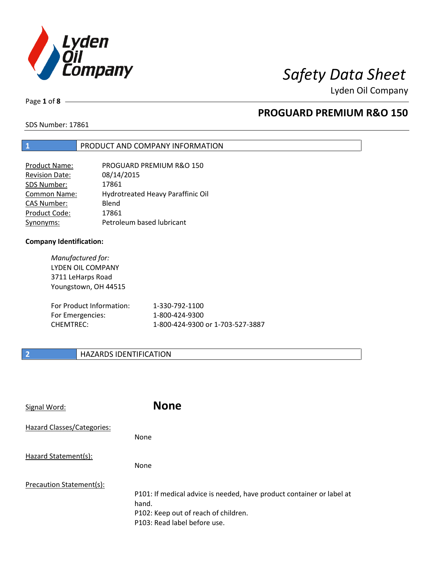

Lyden Oil Company

Page **1** of **8**

### **PROGUARD PREMIUM R&O 150**

SDS Number: 17861

#### **1** PRODUCT AND COMPANY INFORMATION

| <b>Product Name:</b>  | PROGUARD PREMIUM R&O 150          |
|-----------------------|-----------------------------------|
| <b>Revision Date:</b> | 08/14/2015                        |
| SDS Number:           | 17861                             |
| Common Name:          | Hydrotreated Heavy Paraffinic Oil |
| <b>CAS Number:</b>    | Blend                             |
| Product Code:         | 17861                             |
| Synonyms:             | Petroleum based lubricant         |

#### **Company Identification:**

*Manufactured for:*  LYDEN OIL COMPANY 3711 LeHarps Road Youngstown, OH 44515

| For Product Information: | 1-330-792-1100                   |
|--------------------------|----------------------------------|
| For Emergencies:         | 1-800-424-9300                   |
| CHEMTREC:                | 1-800-424-9300 or 1-703-527-3887 |

#### **2 HAZARDS IDENTIFICATION**

| Signal Word:               | <b>None</b>                                                                                                                                            |
|----------------------------|--------------------------------------------------------------------------------------------------------------------------------------------------------|
| Hazard Classes/Categories: | <b>None</b>                                                                                                                                            |
| Hazard Statement(s):       | <b>None</b>                                                                                                                                            |
| Precaution Statement(s):   | P101: If medical advice is needed, have product container or label at<br>hand.<br>P102: Keep out of reach of children.<br>P103: Read label before use. |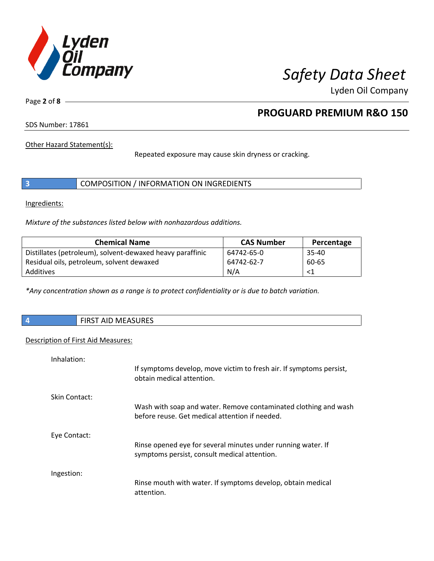

Lyden Oil Company

Page **2** of **8**

## **PROGUARD PREMIUM R&O 150**

SDS Number: 17861

Other Hazard Statement(s):

Repeated exposure may cause skin dryness or cracking.

|  | COMPOSITION / INFORMATION ON INGREDIENTS |  |
|--|------------------------------------------|--|
|--|------------------------------------------|--|

Ingredients:

*Mixture of the substances listed below with nonhazardous additions.* 

| <b>Chemical Name</b>                                      | <b>CAS Number</b> | Percentage |
|-----------------------------------------------------------|-------------------|------------|
| Distillates (petroleum), solvent-dewaxed heavy paraffinic | 64742-65-0        | $35 - 40$  |
| Residual oils, petroleum, solvent dewaxed                 | 64742-62-7        | 60-65      |
| Additives                                                 | N/A               | <1         |

*\*Any concentration shown as a range is to protect confidentiality or is due to batch variation.*

|  |  | <b>FIRST AID MEASURES</b> |
|--|--|---------------------------|
|--|--|---------------------------|

#### Description of First Aid Measures:

| Inhalation:   |                                                                                                                   |
|---------------|-------------------------------------------------------------------------------------------------------------------|
|               | If symptoms develop, move victim to fresh air. If symptoms persist,<br>obtain medical attention.                  |
| Skin Contact: |                                                                                                                   |
|               | Wash with soap and water. Remove contaminated clothing and wash<br>before reuse. Get medical attention if needed. |
| Eye Contact:  |                                                                                                                   |
|               | Rinse opened eye for several minutes under running water. If<br>symptoms persist, consult medical attention.      |
| Ingestion:    |                                                                                                                   |
|               | Rinse mouth with water. If symptoms develop, obtain medical<br>attention.                                         |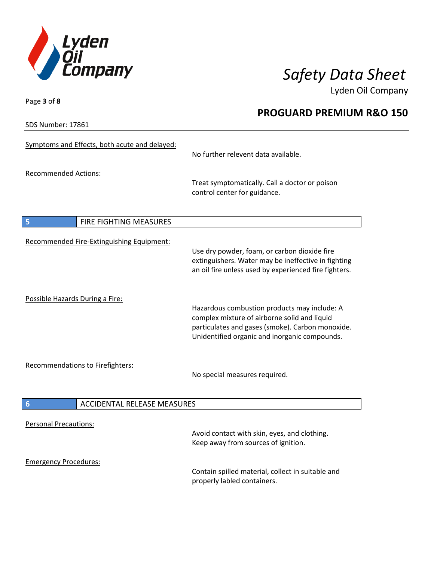

**PROGUARD PREMIUM R&O 150** 

Lyden Oil Company

SDS Number: 17861

Page **3** of **8**

| Symptoms and Effects, both acute and delayed:         | No further relevent data available.                                                                                                                                                               |
|-------------------------------------------------------|---------------------------------------------------------------------------------------------------------------------------------------------------------------------------------------------------|
| <b>Recommended Actions:</b>                           | Treat symptomatically. Call a doctor or poison<br>control center for guidance.                                                                                                                    |
| FIRE FIGHTING MEASURES<br>5                           |                                                                                                                                                                                                   |
| Recommended Fire-Extinguishing Equipment:             | Use dry powder, foam, or carbon dioxide fire<br>extinguishers. Water may be ineffective in fighting<br>an oil fire unless used by experienced fire fighters.                                      |
| Possible Hazards During a Fire:                       | Hazardous combustion products may include: A<br>complex mixture of airborne solid and liquid<br>particulates and gases (smoke). Carbon monoxide.<br>Unidentified organic and inorganic compounds. |
| <b>Recommendations to Firefighters:</b>               | No special measures required.                                                                                                                                                                     |
| <b>ACCIDENTAL RELEASE MEASURES</b><br>$6\phantom{1}6$ |                                                                                                                                                                                                   |
| <b>Personal Precautions:</b>                          | Avoid contact with skin, eyes, and clothing.<br>Keep away from sources of ignition.                                                                                                               |
| <b>Emergency Procedures:</b>                          | Contain spilled material, collect in suitable and<br>properly labled containers.                                                                                                                  |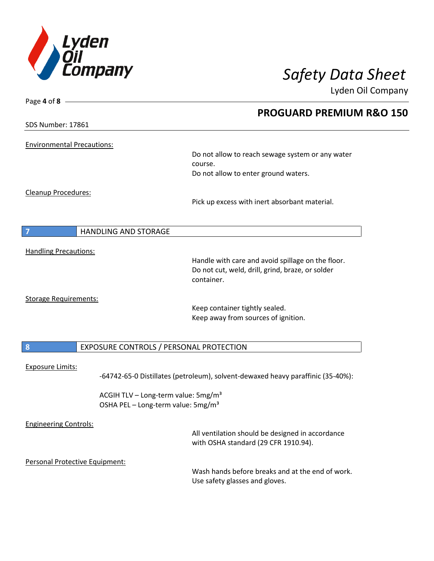

Page **4** of **8**

# *Safety Data Sheet*

Lyden Oil Company

|                                   |                                                 | <b>PROGUARD PREMIUM R&amp;O 150</b>                                             |  |
|-----------------------------------|-------------------------------------------------|---------------------------------------------------------------------------------|--|
| SDS Number: 17861                 |                                                 |                                                                                 |  |
| <b>Environmental Precautions:</b> |                                                 |                                                                                 |  |
|                                   |                                                 | Do not allow to reach sewage system or any water<br>course.                     |  |
|                                   |                                                 | Do not allow to enter ground waters.                                            |  |
| Cleanup Procedures:               |                                                 |                                                                                 |  |
|                                   |                                                 | Pick up excess with inert absorbant material.                                   |  |
|                                   |                                                 |                                                                                 |  |
|                                   | <b>HANDLING AND STORAGE</b>                     |                                                                                 |  |
| <b>Handling Precautions:</b>      |                                                 |                                                                                 |  |
|                                   |                                                 | Handle with care and avoid spillage on the floor.                               |  |
|                                   |                                                 | Do not cut, weld, drill, grind, braze, or solder                                |  |
|                                   |                                                 | container.                                                                      |  |
| <b>Storage Requirements:</b>      |                                                 |                                                                                 |  |
|                                   |                                                 | Keep container tightly sealed.                                                  |  |
|                                   |                                                 | Keep away from sources of ignition.                                             |  |
|                                   |                                                 |                                                                                 |  |
| 8                                 | EXPOSURE CONTROLS / PERSONAL PROTECTION         |                                                                                 |  |
|                                   |                                                 |                                                                                 |  |
| <b>Exposure Limits:</b>           |                                                 | -64742-65-0 Distillates (petroleum), solvent-dewaxed heavy paraffinic (35-40%): |  |
|                                   | ACGIH TLV - Long-term value: 5mg/m <sup>3</sup> |                                                                                 |  |
|                                   | OSHA PEL - Long-term value: 5mg/m <sup>3</sup>  |                                                                                 |  |
| <b>Engineering Controls:</b>      |                                                 |                                                                                 |  |
|                                   |                                                 | All ventilation should be designed in accordance                                |  |
|                                   |                                                 | with OSHA standard (29 CFR 1910.94).                                            |  |
|                                   | Personal Protective Equipment:                  |                                                                                 |  |
|                                   |                                                 | Wash hands before breaks and at the end of work.                                |  |
|                                   |                                                 | Use safety glasses and gloves.                                                  |  |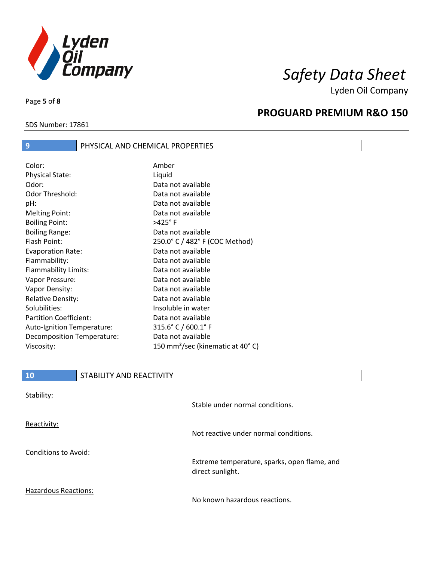

Lyden Oil Company

SDS Number: 17861

Page **5** of **8**

I

#### **PROGUARD PREMIUM R&O 150**

#### **9 PHYSICAL AND CHEMICAL PROPERTIES** Color: Amber Physical State: Liquid Odor: Data not available Odor Threshold: Data not available pH: Data not available Melting Point: Data not available Boiling Point:  $>425^{\circ}$  F Boiling Range: The Contract Contract Data not available Flash Point: 250.0° C / 482° F (COC Method) Evaporation Rate: Data not available Flammability: Data not available Flammability Limits: Data not available Vapor Pressure: Data not available Vapor Density: Data not available Relative Density: Data not available Solubilities: Insoluble in water Partition Coefficient: Data not available Auto-Ignition Temperature: 315.6° C / 600.1° F Decomposition Temperature: Data not available Viscosity: 150 mm²/sec (kinematic at 40° C)

| <b>10</b>            | STABILITY AND REACTIVITY |                                                                  |
|----------------------|--------------------------|------------------------------------------------------------------|
| Stability:           |                          | Stable under normal conditions.                                  |
| Reactivity:          |                          | Not reactive under normal conditions.                            |
| Conditions to Avoid: |                          | Extreme temperature, sparks, open flame, and<br>direct sunlight. |
| Hazardous Reactions: |                          | No known hazardous reactions.                                    |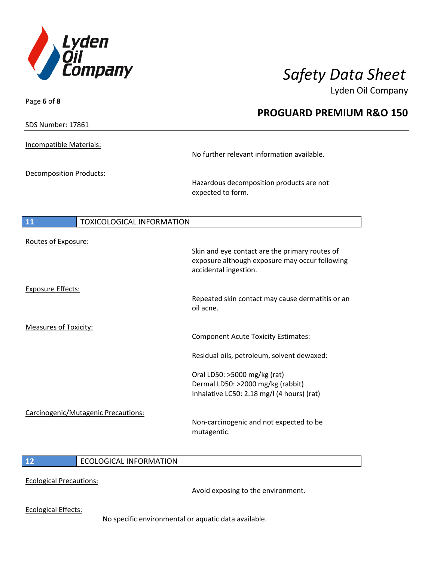

Lyden Oil Company

| Page 6 of 8                         |                                                                                                  |
|-------------------------------------|--------------------------------------------------------------------------------------------------|
|                                     | <b>PROGUARD PREMIUM R&amp;O 150</b>                                                              |
| SDS Number: 17861                   |                                                                                                  |
| Incompatible Materials:             |                                                                                                  |
|                                     | No further relevant information available.                                                       |
|                                     |                                                                                                  |
| <b>Decomposition Products:</b>      | Hazardous decomposition products are not<br>expected to form.                                    |
|                                     |                                                                                                  |
| 11<br>TOXICOLOGICAL INFORMATION     |                                                                                                  |
| Routes of Exposure:                 |                                                                                                  |
|                                     | Skin and eye contact are the primary routes of<br>exposure although exposure may occur following |
|                                     | accidental ingestion.                                                                            |
| <b>Exposure Effects:</b>            |                                                                                                  |
|                                     | Repeated skin contact may cause dermatitis or an<br>oil acne.                                    |
|                                     |                                                                                                  |
| <b>Measures of Toxicity:</b>        |                                                                                                  |
|                                     | <b>Component Acute Toxicity Estimates:</b>                                                       |
|                                     | Residual oils, petroleum, solvent dewaxed:                                                       |
|                                     | Oral LD50: >5000 mg/kg (rat)                                                                     |
|                                     | Dermal LD50: >2000 mg/kg (rabbit)                                                                |
|                                     | Inhalative LC50: 2.18 mg/l (4 hours) (rat)                                                       |
| Carcinogenic/Mutagenic Precautions: |                                                                                                  |
|                                     | Non-carcinogenic and not expected to be                                                          |
|                                     | mutagentic.                                                                                      |
|                                     |                                                                                                  |

#### **12** ECOLOGICAL INFORMATION

Ecological Precautions:

Avoid exposing to the environment.

Ecological Effects:

No specific environmental or aquatic data available.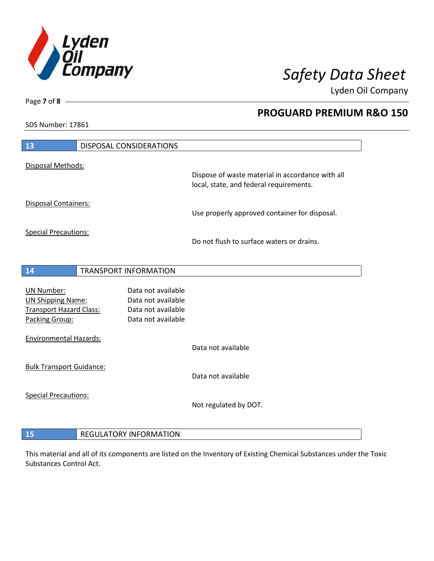

**PROGUARD PREMIUM R&O 150** 

Lyden Oil Company

SDS Number: 17861

Page **7** of **8**

| 13                                                                                                | <b>DISPOSAL CONSIDERATIONS</b> |                                                                                      |                                                                                             |
|---------------------------------------------------------------------------------------------------|--------------------------------|--------------------------------------------------------------------------------------|---------------------------------------------------------------------------------------------|
| Disposal Methods:                                                                                 |                                |                                                                                      |                                                                                             |
|                                                                                                   |                                |                                                                                      | Dispose of waste material in accordance with all<br>local, state, and federal requirements. |
| Disposal Containers:                                                                              |                                |                                                                                      | Use properly approved container for disposal.                                               |
| <b>Special Precautions:</b>                                                                       |                                |                                                                                      | Do not flush to surface waters or drains.                                                   |
|                                                                                                   |                                |                                                                                      |                                                                                             |
| 14                                                                                                | TRANSPORT INFORMATION          |                                                                                      |                                                                                             |
| <b>UN Number:</b><br><b>UN Shipping Name:</b><br><b>Transport Hazard Class:</b><br>Packing Group: |                                | Data not available<br>Data not available<br>Data not available<br>Data not available |                                                                                             |
| <b>Environmental Hazards:</b>                                                                     |                                |                                                                                      | Data not available                                                                          |
| <b>Bulk Transport Guidance:</b>                                                                   |                                |                                                                                      | Data not available                                                                          |
| <b>Special Precautions:</b>                                                                       |                                |                                                                                      | Not regulated by DOT.                                                                       |
| 15                                                                                                | <b>REGULATORY INFORMATION</b>  |                                                                                      |                                                                                             |

This material and all of its components are listed on the Inventory of Existing Chemical Substances under the Toxic Substances Control Act.